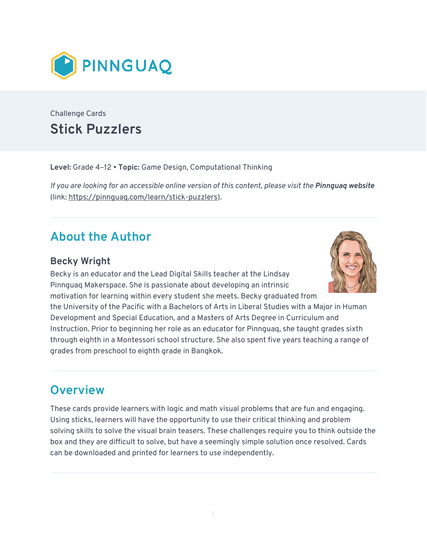

Challenge Cards **Stick Puzzlers** 

**Level:** Grade 4–12 • **Topic:** Game Design, Computational Thinking

*If you are looking for an accessible online version of this content, please visit the Pinnquaq website* (link: [https://pinnguaq.com/learn/stick-puzzlers\)](https://pinnguaq.com/learn/stick-puzzlers).

# **About the Author**

### **Becky Wright**

Becky is an educator and the Lead Digital Skills teacher at the Lindsay Pinnguaq Makerspace. She is passionate about developing an intrinsic motivation for learning within every student she meets. Becky graduated from



the University of the Pacific with a Bachelors of Arts in Liberal Studies with a Major in Human Development and Special Education, and a Masters of Arts Degree in Curriculum and Instruction. Prior to beginning her role as an educator for Pinnguaq, she taught grades sixth through eighth in a Montessori school structure. She also spent five years teaching a range of grades from preschool to eighth grade in Bangkok.

## **Overview**

These cards provide learners with logic and math visual problems that are fun and engaging. Using sticks, learners will have the opportunity to use their critical thinking and problem solving skills to solve the visual brain teasers. These challenges require you to think outside the box and they are difficult to solve, but have a seemingly simple solution once resolved. Cards can be downloaded and printed for learners to use independently.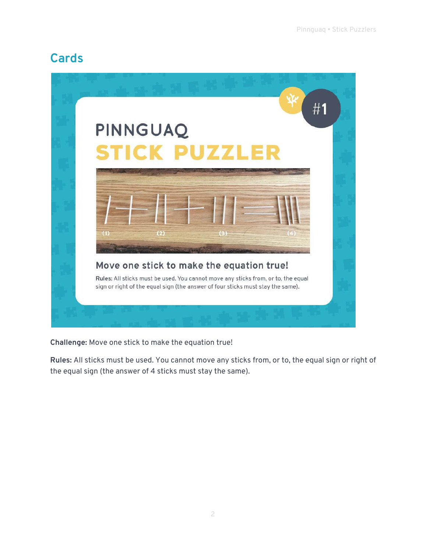## **Cards**



**Challenge:** Move one stick to make the equation true!

**Rules:** All sticks must be used. You cannot move any sticks from, or to, the equal sign or right of the equal sign (the answer of 4 sticks must stay the same).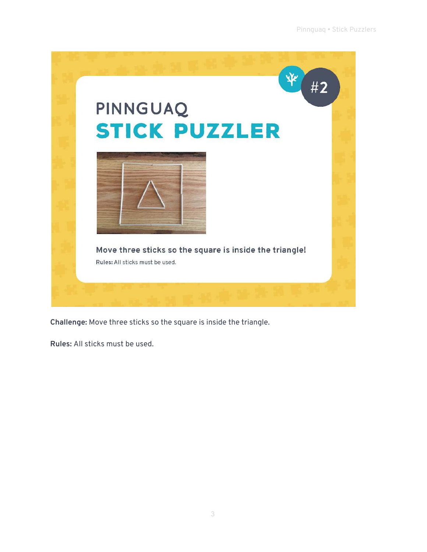

**Challenge:** Move three sticks so the square is inside the triangle.

**Rules:** All sticks must be used.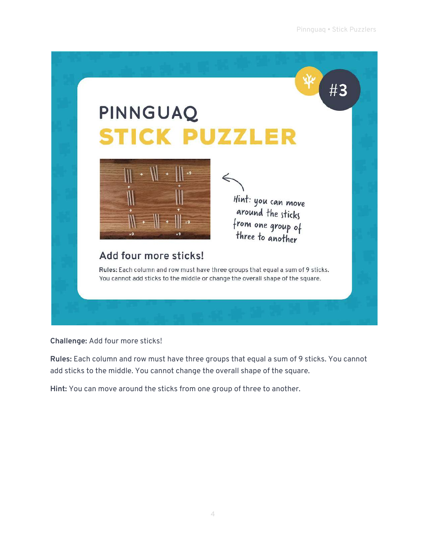

**Challenge:** Add four more sticks!

**Rules:** Each column and row must have three groups that equal a sum of 9 sticks. You cannot add sticks to the middle. You cannot change the overall shape of the square.

**Hint:** You can move around the sticks from one group of three to another.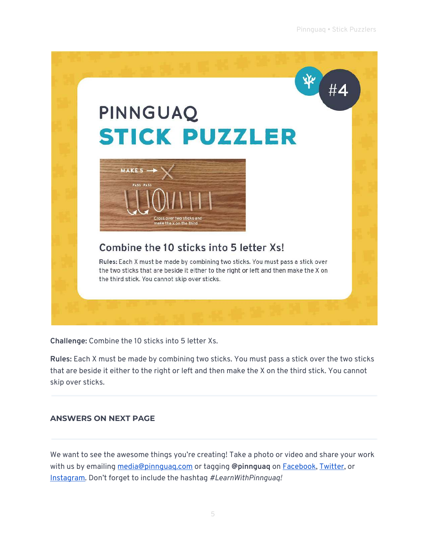

**Challenge:** Combine the 10 sticks into 5 letter Xs.

**Rules:** Each X must be made by combining two sticks. You must pass a stick over the two sticks that are beside it either to the right or left and then make the X on the third stick. You cannot skip over sticks.

#### **ANSWERS ON NEXT PAGE**

We want to see the awesome things you're creating! Take a photo or video and share your work with us by emailing [media@pinnguaq.com](mailto:media@pinnguaq.com) or tagging **@pinnguaq** on [Facebook](https://www.facebook.com/Pinnguaq/), [Twitter,](https://twitter.com/pinnguaq) or [Instagram.](https://www.instagram.com/pinnguaq/) Don't forget to include the hashtag *#LearnWithPinnguaq!*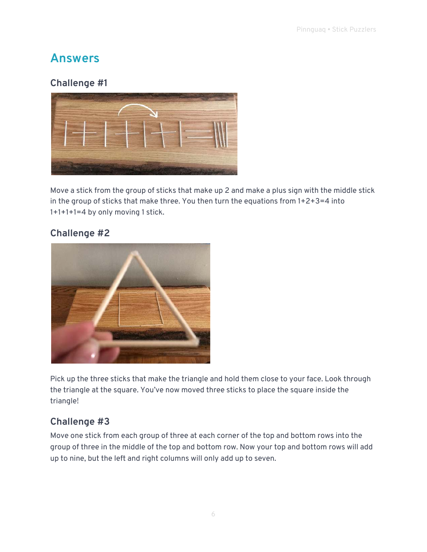# **Answers**

### **Challenge #1**



Move a stick from the group of sticks that make up 2 and make a plus sign with the middle stick in the group of sticks that make three. You then turn the equations from 1+2+3=4 into 1+1+1+1=4 by only moving 1 stick.

### **Challenge #2**



Pick up the three sticks that make the triangle and hold them close to your face. Look through the triangle at the square. You've now moved three sticks to place the square inside the triangle!

### **Challenge #3**

Move one stick from each group of three at each corner of the top and bottom rows into the group of three in the middle of the top and bottom row. Now your top and bottom rows will add up to nine, but the left and right columns will only add up to seven.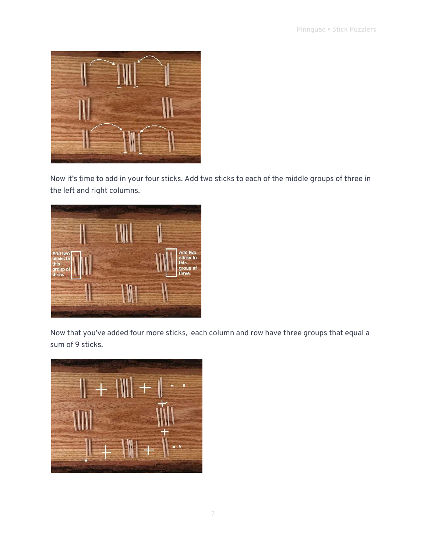

Now it's time to add in your four sticks. Add two sticks to each of the middle groups of three in the left and right columns.



Now that you've added four more sticks, each column and row have three groups that equal a sum of 9 sticks.

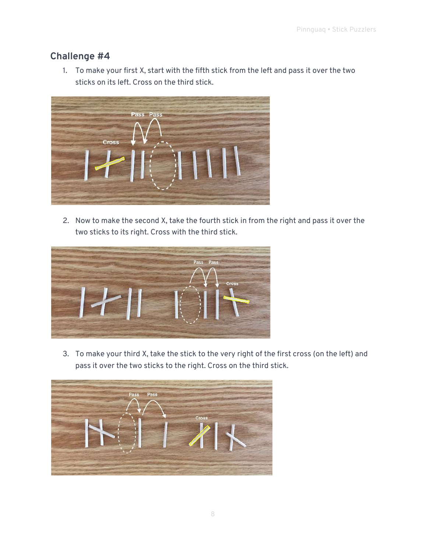#### **Challenge #4**

1. To make your first X, start with the fifth stick from the left and pass it over the two sticks on its left. Cross on the third stick.



2. Now to make the second X, take the fourth stick in from the right and pass it over the two sticks to its right. Cross with the third stick.



3. To make your third X, take the stick to the very right of the first cross (on the left) and pass it over the two sticks to the right. Cross on the third stick.